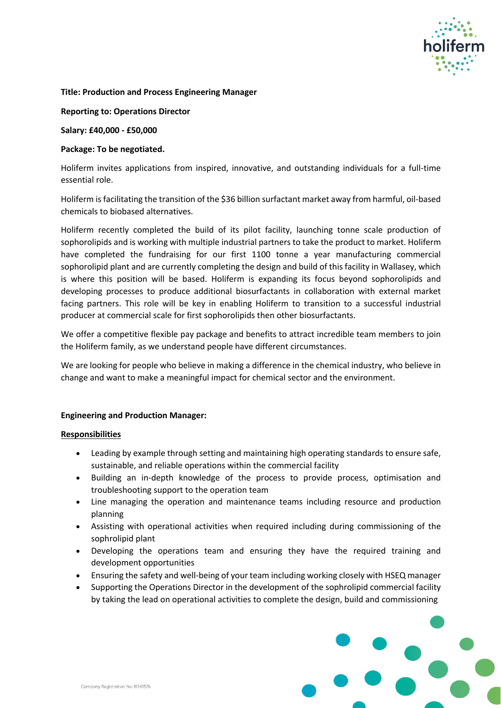

#### **Title: Production and Process Engineering Manager**

**Reporting to: Operations Director**

**Salary: £40,000 - £50,000**

# **Package: To be negotiated.**

Holiferm invites applications from inspired, innovative, and outstanding individuals for a full-time essential role.

Holiferm is facilitating the transition of the \$36 billion surfactant market away from harmful, oil-based chemicals to biobased alternatives.

Holiferm recently completed the build of its pilot facility, launching tonne scale production of sophorolipids and is working with multiple industrial partners to take the product to market. Holiferm have completed the fundraising for our first 1100 tonne a year manufacturing commercial sophorolipid plant and are currently completing the design and build of this facility in Wallasey, which is where this position will be based. Holiferm is expanding its focus beyond sophorolipids and developing processes to produce additional biosurfactants in collaboration with external market facing partners. This role will be key in enabling Holiferm to transition to a successful industrial producer at commercial scale for first sophorolipids then other biosurfactants.

We offer a competitive flexible pay package and benefits to attract incredible team members to join the Holiferm family, as we understand people have different circumstances.

We are looking for people who believe in making a difference in the chemical industry, who believe in change and want to make a meaningful impact for chemical sector and the environment.

## **Engineering and Production Manager:**

## **Responsibilities**

- Leading by example through setting and maintaining high operating standards to ensure safe, sustainable, and reliable operations within the commercial facility
- Building an in-depth knowledge of the process to provide process, optimisation and troubleshooting support to the operation team
- Line managing the operation and maintenance teams including resource and production planning
- Assisting with operational activities when required including during commissioning of the sophrolipid plant
- Developing the operations team and ensuring they have the required training and development opportunities
- Ensuring the safety and well-being of your team including working closely with HSEQ manager
- Supporting the Operations Director in the development of the sophrolipid commercial facility by taking the lead on operational activities to complete the design, build and commissioning